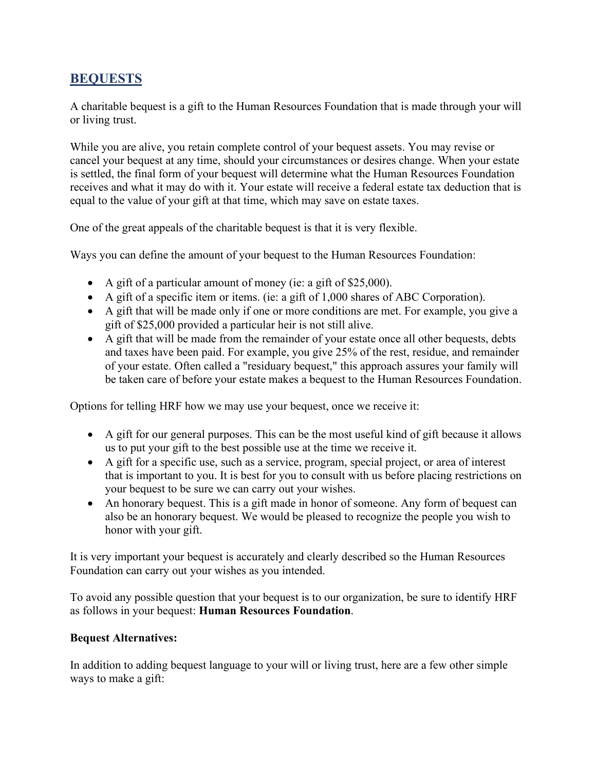### **BEQUESTS**

A charitable bequest is a gift to the Human Resources Foundation that is made through your will or living trust.

While you are alive, you retain complete control of your bequest assets. You may revise or cancel your bequest at any time, should your circumstances or desires change. When your estate is settled, the final form of your bequest will determine what the Human Resources Foundation receives and what it may do with it. Your estate will receive a federal estate tax deduction that is equal to the value of your gift at that time, which may save on estate taxes.

One of the great appeals of the charitable bequest is that it is very flexible.

Ways you can define the amount of your bequest to the Human Resources Foundation:

- A gift of a particular amount of money (ie: a gift of \$25,000).
- A gift of a specific item or items. (ie: a gift of 1,000 shares of ABC Corporation).
- A gift that will be made only if one or more conditions are met. For example, you give a gift of \$25,000 provided a particular heir is not still alive.
- A gift that will be made from the remainder of your estate once all other bequests, debts and taxes have been paid. For example, you give 25% of the rest, residue, and remainder of your estate. Often called a "residuary bequest," this approach assures your family will be taken care of before your estate makes a bequest to the Human Resources Foundation.

Options for telling HRF how we may use your bequest, once we receive it:

- A gift for our general purposes. This can be the most useful kind of gift because it allows us to put your gift to the best possible use at the time we receive it.
- A gift for a specific use, such as a service, program, special project, or area of interest that is important to you. It is best for you to consult with us before placing restrictions on your bequest to be sure we can carry out your wishes.
- An honorary bequest. This is a gift made in honor of someone. Any form of bequest can also be an honorary bequest. We would be pleased to recognize the people you wish to honor with your gift.

It is very important your bequest is accurately and clearly described so the Human Resources Foundation can carry out your wishes as you intended.

To avoid any possible question that your bequest is to our organization, be sure to identify HRF as follows in your bequest: **Human Resources Foundation**.

#### **Bequest Alternatives:**

In addition to adding bequest language to your will or living trust, here are a few other simple ways to make a gift: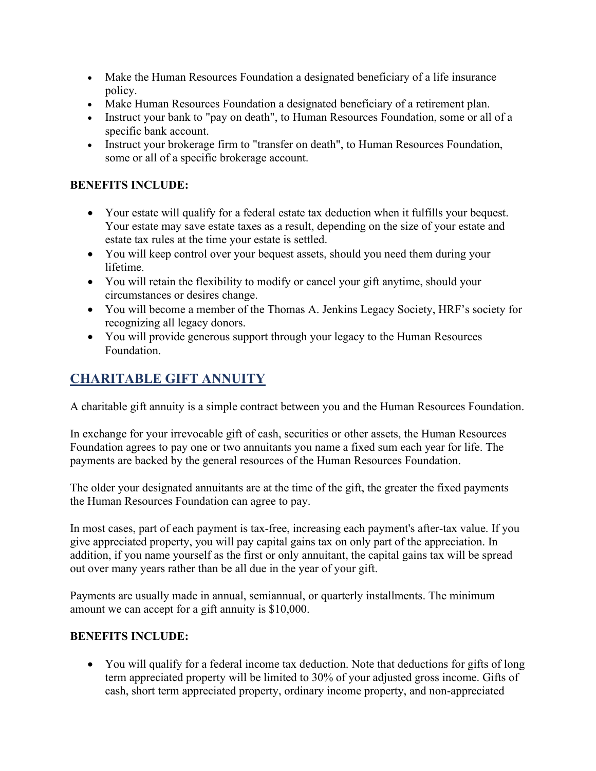- Make the Human Resources Foundation a designated beneficiary of a life insurance policy.
- Make Human Resources Foundation a designated beneficiary of a retirement plan.
- Instruct your bank to "pay on death", to Human Resources Foundation, some or all of a specific bank account.
- Instruct your brokerage firm to "transfer on death", to Human Resources Foundation, some or all of a specific brokerage account.

### **BENEFITS INCLUDE:**

- Your estate will qualify for a federal estate tax deduction when it fulfills your bequest. Your estate may save estate taxes as a result, depending on the size of your estate and estate tax rules at the time your estate is settled.
- You will keep control over your bequest assets, should you need them during your lifetime.
- You will retain the flexibility to modify or cancel your gift anytime, should your circumstances or desires change.
- You will become a member of the Thomas A. Jenkins Legacy Society, HRF's society for recognizing all legacy donors.
- You will provide generous support through your legacy to the Human Resources Foundation.

# **CHARITABLE GIFT ANNUITY**

A charitable gift annuity is a simple contract between you and the Human Resources Foundation.

In exchange for your irrevocable gift of cash, securities or other assets, the Human Resources Foundation agrees to pay one or two annuitants you name a fixed sum each year for life. The payments are backed by the general resources of the Human Resources Foundation.

The older your designated annuitants are at the time of the gift, the greater the fixed payments the Human Resources Foundation can agree to pay.

In most cases, part of each payment is tax-free, increasing each payment's after-tax value. If you give appreciated property, you will pay capital gains tax on only part of the appreciation. In addition, if you name yourself as the first or only annuitant, the capital gains tax will be spread out over many years rather than be all due in the year of your gift.

Payments are usually made in annual, semiannual, or quarterly installments. The minimum amount we can accept for a gift annuity is \$10,000.

### **BENEFITS INCLUDE:**

• You will qualify for a federal income tax deduction. Note that deductions for gifts of long term appreciated property will be limited to 30% of your adjusted gross income. Gifts of cash, short term appreciated property, ordinary income property, and non-appreciated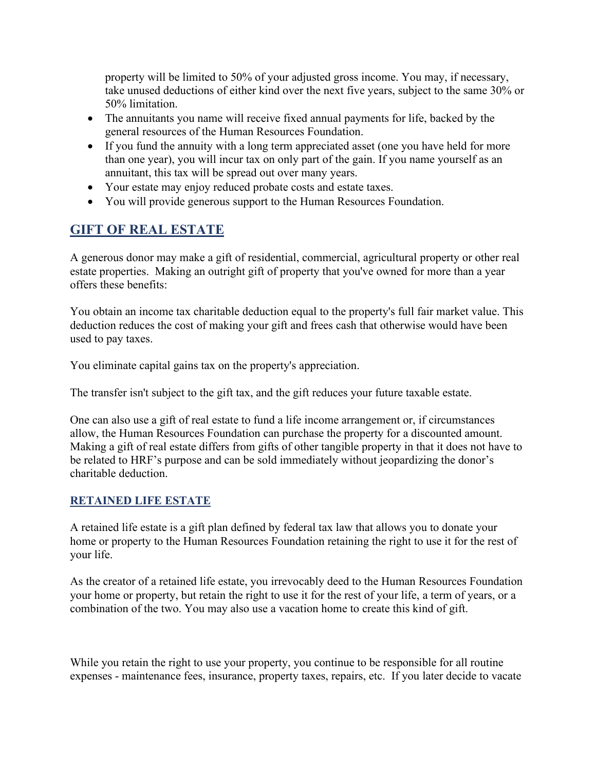property will be limited to 50% of your adjusted gross income. You may, if necessary, take unused deductions of either kind over the next five years, subject to the same 30% or 50% limitation.

- The annuitants you name will receive fixed annual payments for life, backed by the general resources of the Human Resources Foundation.
- If you fund the annuity with a long term appreciated asset (one you have held for more than one year), you will incur tax on only part of the gain. If you name yourself as an annuitant, this tax will be spread out over many years.
- Your estate may enjoy reduced probate costs and estate taxes.
- You will provide generous support to the Human Resources Foundation.

# **GIFT OF REAL ESTATE**

A generous donor may make a gift of residential, commercial, agricultural property or other real estate properties. Making an outright gift of property that you've owned for more than a year offers these benefits:

You obtain an income tax charitable deduction equal to the property's full fair market value. This deduction reduces the cost of making your gift and frees cash that otherwise would have been used to pay taxes.

You eliminate capital gains tax on the property's appreciation.

The transfer isn't subject to the gift tax, and the gift reduces your future taxable estate.

One can also use a gift of real estate to fund a life income arrangement or, if circumstances allow, the Human Resources Foundation can purchase the property for a discounted amount. Making a gift of real estate differs from gifts of other tangible property in that it does not have to be related to HRF's purpose and can be sold immediately without jeopardizing the donor's charitable deduction.

#### **RETAINED LIFE ESTATE**

A retained life estate is a gift plan defined by federal tax law that allows you to donate your home or property to the Human Resources Foundation retaining the right to use it for the rest of your life.

As the creator of a retained life estate, you irrevocably deed to the Human Resources Foundation your home or property, but retain the right to use it for the rest of your life, a term of years, or a combination of the two. You may also use a vacation home to create this kind of gift.

While you retain the right to use your property, you continue to be responsible for all routine expenses - maintenance fees, insurance, property taxes, repairs, etc. If you later decide to vacate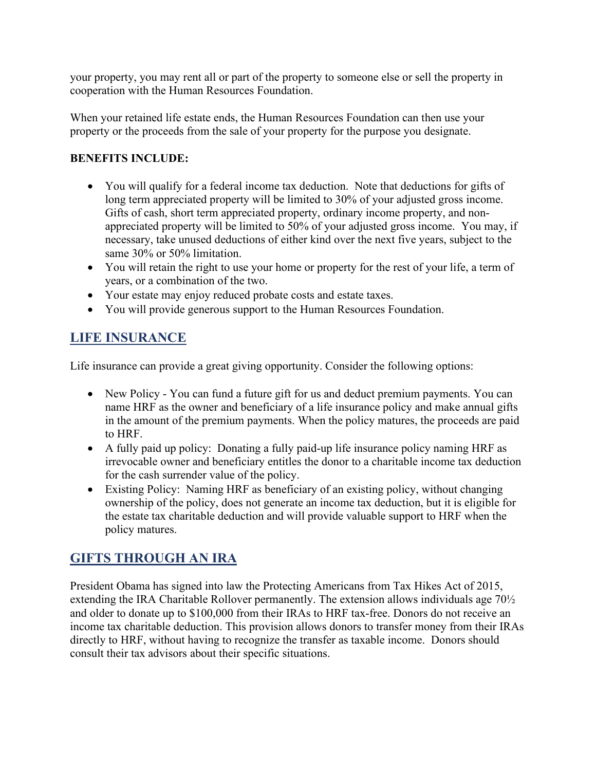your property, you may rent all or part of the property to someone else or sell the property in cooperation with the Human Resources Foundation.

When your retained life estate ends, the Human Resources Foundation can then use your property or the proceeds from the sale of your property for the purpose you designate.

#### **BENEFITS INCLUDE:**

- You will qualify for a federal income tax deduction. Note that deductions for gifts of long term appreciated property will be limited to 30% of your adjusted gross income. Gifts of cash, short term appreciated property, ordinary income property, and nonappreciated property will be limited to 50% of your adjusted gross income. You may, if necessary, take unused deductions of either kind over the next five years, subject to the same 30% or 50% limitation.
- You will retain the right to use your home or property for the rest of your life, a term of years, or a combination of the two.
- Your estate may enjoy reduced probate costs and estate taxes.
- You will provide generous support to the Human Resources Foundation.

# **LIFE INSURANCE**

Life insurance can provide a great giving opportunity. Consider the following options:

- New Policy You can fund a future gift for us and deduct premium payments. You can name HRF as the owner and beneficiary of a life insurance policy and make annual gifts in the amount of the premium payments. When the policy matures, the proceeds are paid to HRF.
- A fully paid up policy: Donating a fully paid-up life insurance policy naming HRF as irrevocable owner and beneficiary entitles the donor to a charitable income tax deduction for the cash surrender value of the policy.
- Existing Policy: Naming HRF as beneficiary of an existing policy, without changing ownership of the policy, does not generate an income tax deduction, but it is eligible for the estate tax charitable deduction and will provide valuable support to HRF when the policy matures.

# **GIFTS THROUGH AN IRA**

President Obama has signed into law the Protecting Americans from Tax Hikes Act of 2015, extending the IRA Charitable Rollover permanently. The extension allows individuals age 70½ and older to donate up to \$100,000 from their IRAs to HRF tax-free. Donors do not receive an income tax charitable deduction. This provision allows donors to transfer money from their IRAs directly to HRF, without having to recognize the transfer as taxable income. Donors should consult their tax advisors about their specific situations.